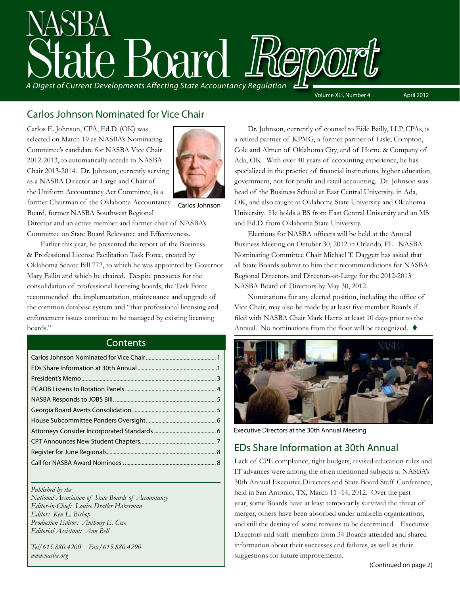

# Carlos Johnson Nominated for Vice Chair

Carlos E. Johnson, CPA, Ed.D. (OK) was selected on March 19 as NASBA's Nominating Committee's candidate for NASBA Vice Chair 2012-2013, to automatically accede to NASBA Chair 2013-2014. Dr. Johnson, currently serving as a NASBA Director-at-Large and Chair of the Uniform Accountancy Act Committee, is a former Chairman of the Oklahoma Accountancy



Board, former NASBA Southwest Regional Carlos Johnson

Director and an active member and former chair of NASBA's Committee on State Board Relevance and Effectiveness.

Earlier this year, he presented the report of the Business & Professional License Facilitation Task Force, created by Oklahoma Senate Bill 772, to which he was appointed by Governor Mary Fallin and which he chaired. Despite pressures for the consolidation of professional licensing boards, the Task Force recommended the implementation, maintenance and upgrade of the common database system and "that professional licensing and enforcement issues continue to be managed by existing licensing boards."

#### **Contents**

*Published by the* 

*National Association of State Boards of Accountancy Editor-in-Chief: Louise Dratler Haberman Editor: Ken L. Bishop Production Editor: Anthony E. Cox Editorial Assistant: Ann Bell* 

*Tel/615.880.4200 Fax/615.880.4290 www.nasba.org*

Dr. Johnson, currently of counsel to Eide Bailly, LLP, CPAs, is a retired partner of KPMG, a former partner of Lisle, Compton, Cole and Almen of Oklahoma City, and of Horne & Company of Ada, OK. With over 40 years of accounting experience, he has specialized in the practice of financial institutions, higher education, government, not-for-profit and retail accounting. Dr. Johnson was head of the Business School at East Central University, in Ada, OK, and also taught at Oklahoma State University and Oklahoma University. He holds a BS from East Central University and an MS and Ed.D. from Oklahoma State University.

Elections for NASBA officers will be held at the Annual Business Meeting on October 30, 2012 in Orlando, FL. NASBA Nominating Committee Chair Michael T. Daggett has asked that all State Boards submit to him their recommendations for NASBA Regional Directors and Directors-at-Large for the 2012-2013 NASBA Board of Directors by May 30, 2012.

Nominations for any elected position, including the office of Vice Chair, may also be made by at least five member Boards if filed with NASBA Chair Mark Harris at least 10 days prior to the Annual. No nominations from the floor will be recognized.  $\blacklozenge$ 



Executive Directors at the 30th Annual Meeting

# EDs Share Information at 30th Annual

Lack of CPE compliance, tight budgets, revised education rules and IT advances were among the often mentioned subjects at NASBA's 30th Annual Executive Directors and State Board Staff Conference, held in San Antonio, TX, March 11 -14, 2012. Over the past year, some Boards have at least temporarily survived the threat of merger, others have been absorbed under umbrella organizations, and still the destiny of some remains to be determined. Executive Directors and staff members from 34 Boards attended and shared information about their successes and failures, as well as their suggestions for future improvements.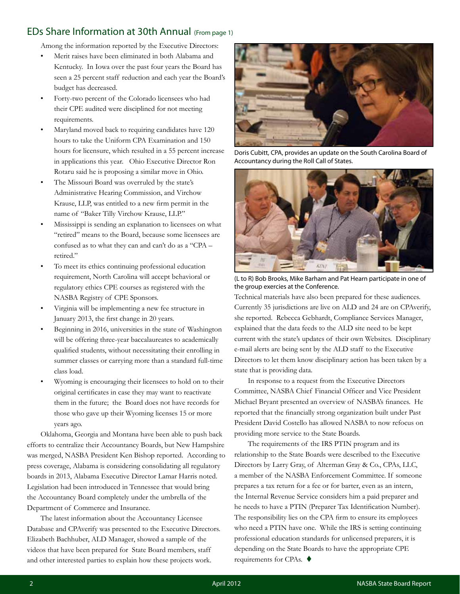#### EDs Share Information at 30th Annual (From page 1)

Among the information reported by the Executive Directors:

- Merit raises have been eliminated in both Alabama and Kentucky. In Iowa over the past four years the Board has seen a 25 percent staff reduction and each year the Board's budget has decreased.
- Forty-two percent of the Colorado licensees who had their CPE audited were disciplined for not meeting requirements.
- Maryland moved back to requiring candidates have 120 hours to take the Uniform CPA Examination and 150 hours for licensure, which resulted in a 55 percent increase in applications this year. Ohio Executive Director Ron Rotaru said he is proposing a similar move in Ohio.
- The Missouri Board was overruled by the state's Administrative Hearing Commission, and Virchow Krause, LLP, was entitled to a new firm permit in the name of "Baker Tilly Virchow Krause, LLP."
- Mississippi is sending an explanation to licensees on what "retired" means to the Board, because some licensees are confused as to what they can and can't do as a "CPA – retired."
- To meet its ethics continuing professional education requirement, North Carolina will accept behavioral or regulatory ethics CPE courses as registered with the NASBA Registry of CPE Sponsors.
- Virginia will be implementing a new fee structure in January 2013, the first change in 20 years.
- Beginning in 2016, universities in the state of Washington will be offering three-year baccalaureates to academically qualified students, without necessitating their enrolling in summer classes or carrying more than a standard full-time class load.
- Wyoming is encouraging their licensees to hold on to their original certificates in case they may want to reactivate them in the future; the Board does not have records for those who gave up their Wyoming licenses 15 or more years ago.

Oklahoma, Georgia and Montana have been able to push back efforts to centralize their Accountancy Boards, but New Hampshire was merged, NASBA President Ken Bishop reported. According to press coverage, Alabama is considering consolidating all regulatory boards in 2013, Alabama Executive Director Lamar Harris noted. Legislation had been introduced in Tennessee that would bring the Accountancy Board completely under the umbrella of the Department of Commerce and Insurance.

The latest information about the Accountancy Licensee Database and CPAverify was presented to the Executive Directors. Elizabeth Bachhuber, ALD Manager, showed a sample of the videos that have been prepared for State Board members, staff and other interested parties to explain how these projects work.



Doris Cubitt, CPA, provides an update on the South Carolina Board of Accountancy during the Roll Call of States.



(L to R) Bob Brooks, Mike Barham and Pat Hearn participate in one of the group exercies at the Conference.

Technical materials have also been prepared for these audiences. Currently 35 jurisdictions are live on ALD and 24 are on CPAverify, she reported. Rebecca Gebhardt, Compliance Services Manager, explained that the data feeds to the ALD site need to be kept current with the state's updates of their own Websites. Disciplinary e-mail alerts are being sent by the ALD staff to the Executive Directors to let them know disciplinary action has been taken by a state that is providing data.

In response to a request from the Executive Directors Committee, NASBA Chief Financial Officer and Vice President Michael Bryant presented an overview of NASBA's finances. He reported that the financially strong organization built under Past President David Costello has allowed NASBA to now refocus on providing more service to the State Boards.

The requirements of the IRS PTIN program and its relationship to the State Boards were described to the Executive Directors by Larry Gray, of Alterman Gray & Co., CPAs, LLC, a member of the NASBA Enforcement Committee. If someone prepares a tax return for a fee or for barter, even as an intern, the Internal Revenue Service considers him a paid preparer and he needs to have a PTIN (Preparer Tax Identification Number). The responsibility lies on the CPA firm to ensure its employees who need a PTIN have one. While the IRS is setting continuing professional education standards for unlicensed preparers, it is depending on the State Boards to have the appropriate CPE requirements for CPAs.  $\blacklozenge$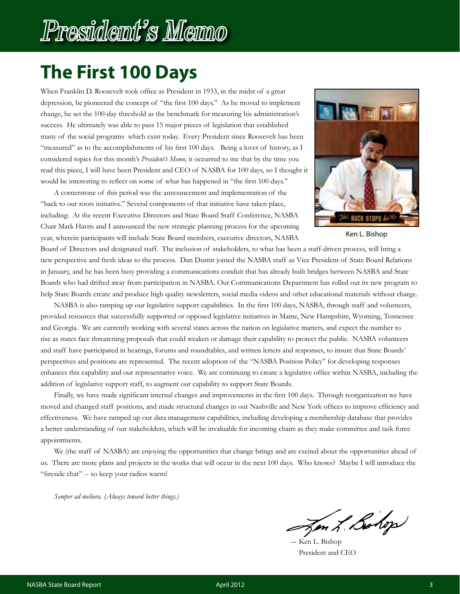# President's Memo

# **The First 100 Days**

When Franklin D. Roosevelt took office as President in 1933, in the midst of a great depression, he pioneered the concept of "the first 100 days." As he moved to implement change, he set the 100-day threshold as the benchmark for measuring his administration's success. He ultimately was able to pass 15 major pieces of legislation that established many of the social programs which exist today. Every President since Roosevelt has been "measured" as to the accomplishments of his first 100 days. Being a lover of history, as I considered topics for this month's *President's Memo*, it occurred to me that by the time you read this piece, I will have been President and CEO of NASBA for 100 days, so I thought it would be interesting to reflect on some of what has happened in "the first 100 days."

A cornerstone of this period was the announcement and implementation of the "back to our roots initiative." Several components of that initiative have taken place, including: At the recent Executive Directors and State Board Staff Conference, NASBA Chair Mark Harris and I announced the new strategic planning process for the upcoming year, wherein participants will include State Board members, executive directors, NASBA



Ken L. Bishop

Board of Directors and designated staff. The inclusion of stakeholders, to what has been a staff-driven process, will bring a new perspective and fresh ideas to the process. Dan Dustin joined the NASBA staff as Vice President of State Board Relations in January, and he has been busy providing a communications conduit that has already built bridges between NASBA and State Boards who had drifted away from participation in NASBA. Our Communications Department has rolled out its new program to help State Boards create and produce high quality newsletters, social media videos and other educational materials without charge.

NASBA is also ramping up our legislative support capabilities. In the first 100 days, NASBA, through staff and volunteers, provided resources that successfully supported or opposed legislative initiatives in Maine, New Hampshire, Wyoming, Tennessee and Georgia. We are currently working with several states across the nation on legislative matters, and expect the number to rise as states face threatening proposals that could weaken or damage their capability to protect the public. NASBA volunteers and staff have participated in hearings, forums and roundtables, and written letters and responses, to insure that State Boards' perspectives and positions are represented. The recent adoption of the "NASBA Position Policy" for developing responses enhances this capability and our representative voice. We are continuing to create a legislative office within NASBA, including the addition of legislative support staff, to augment our capability to support State Boards.

Finally, we have made significant internal changes and improvements in the first 100 days. Through reorganization we have moved and changed staff positions, and made structural changes in our Nashville and New York offices to improve efficiency and effectiveness. We have ramped up our data management capabilities, including developing a membership database that provides a better understanding of our stakeholders, which will be invaluable for incoming chairs as they make committee and task force appointments.

We (the staff of NASBA) are enjoying the opportunities that change brings and are excited about the opportunities ahead of us. There are more plans and projects in the works that will occur in the next 100 days. Who knows? Maybe I will introduce the "fireside chat" -- so keep your radios warm!

*Semper ad meliora. (Always toward better things.)*

Jon L. Bohop

Ken L. Bishop President and CEO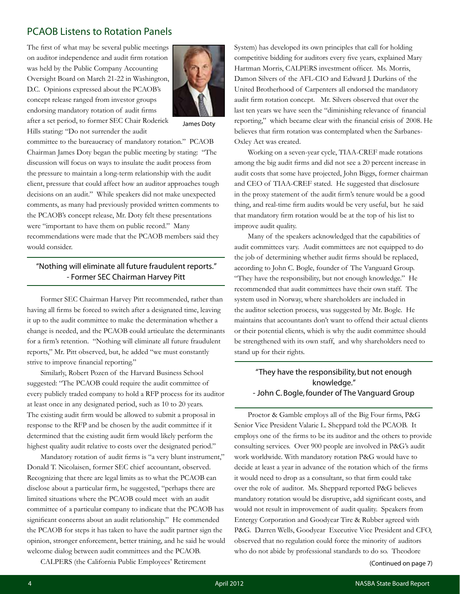### PCAOB Listens to Rotation Panels

The first of what may be several public meetings on auditor independence and audit firm rotation was held by the Public Company Accounting Oversight Board on March 21-22 in Washington, D.C. Opinions expressed about the PCAOB's concept release ranged from investor groups endorsing mandatory rotation of audit firms after a set period, to former SEC Chair Roderick Hills stating: "Do not surrender the audit



James Doty

committee to the bureaucracy of mandatory rotation." PCAOB Chairman James Doty began the public meeting by stating: "The discussion will focus on ways to insulate the audit process from the pressure to maintain a long-term relationship with the audit client, pressure that could affect how an auditor approaches tough decisions on an audit." While speakers did not make unexpected comments, as many had previously provided written comments to the PCAOB's concept release, Mr. Doty felt these presentations were "important to have them on public record." Many recommendations were made that the PCAOB members said they would consider.

#### "Nothing will eliminate all future fraudulent reports." - Former SEC Chairman Harvey Pitt

Former SEC Chairman Harvey Pitt recommended, rather than having all firms be forced to switch after a designated time, leaving it up to the audit committee to make the determination whether a change is needed, and the PCAOB could articulate the determinants for a firm's retention. "Nothing will eliminate all future fraudulent reports," Mr. Pitt observed, but, he added "we must constantly strive to improve financial reporting."

Similarly, Robert Pozen of the Harvard Business School suggested: "The PCAOB could require the audit committee of every publicly traded company to hold a RFP process for its auditor at least once in any designated period, such as 10 to 20 years. The existing audit firm would be allowed to submit a proposal in response to the RFP and be chosen by the audit committee if it determined that the existing audit firm would likely perform the highest quality audit relative to costs over the designated period."

Mandatory rotation of audit firms is "a very blunt instrument," Donald T. Nicolaisen, former SEC chief accountant, observed. Recognizing that there are legal limits as to what the PCAOB can disclose about a particular firm, he suggested, "perhaps there are limited situations where the PCAOB could meet with an audit committee of a particular company to indicate that the PCAOB has significant concerns about an audit relationship." He commended the PCAOB for steps it has taken to have the audit partner sign the opinion, stronger enforcement, better training, and he said he would welcome dialog between audit committees and the PCAOB.

CALPERS (the California Public Employees' Retirement

System) has developed its own principles that call for holding competitive bidding for auditors every five years, explained Mary Hartman Morris, CALPERS investment officer. Ms. Morris, Damon Silvers of the AFL-CIO and Edward J. Durkins of the United Brotherhood of Carpenters all endorsed the mandatory audit firm rotation concept. Mr. Silvers observed that over the last ten years we have seen the "diminishing relevance of financial reporting," which became clear with the financial crisis of 2008. He believes that firm rotation was contemplated when the Sarbanes-Oxley Act was created.

Working on a seven-year cycle, TIAA-CREF made rotations among the big audit firms and did not see a 20 percent increase in audit costs that some have projected, John Biggs, former chairman and CEO of TIAA-CREF stated. He suggested that disclosure in the proxy statement of the audit firm's tenure would be a good thing, and real-time firm audits would be very useful, but he said that mandatory firm rotation would be at the top of his list to improve audit quality.

Many of the speakers acknowledged that the capabilities of audit committees vary. Audit committees are not equipped to do the job of determining whether audit firms should be replaced, according to John C. Bogle, founder of The Vanguard Group. "They have the responsibility, but not enough knowledge." He recommended that audit committees have their own staff. The system used in Norway, where shareholders are included in the auditor selection process, was suggested by Mr. Bogle. He maintains that accountants don't want to offend their actual clients or their potential clients, which is why the audit committee should be strengthened with its own staff, and why shareholders need to stand up for their rights.

#### "They have the responsibility, but not enough knowledge." - John C. Bogle, founder of The Vanguard Group

Proctor & Gamble employs all of the Big Four firms, P&G Senior Vice President Valarie L. Sheppard told the PCAOB. It employs one of the firms to be its auditor and the others to provide consulting services. Over 900 people are involved in P&G's audit work worldwide. With mandatory rotation P&G would have to decide at least a year in advance of the rotation which of the firms it would need to drop as a consultant, so that firm could take over the role of auditor. Ms. Sheppard reported P&G believes mandatory rotation would be disruptive, add significant costs, and would not result in improvement of audit quality. Speakers from Entergy Corporation and Goodyear Tire & Rubber agreed with P&G. Darren Wells, Goodyear Executive Vice President and CFO, observed that no regulation could force the minority of auditors who do not abide by professional standards to do so. Theodore

(Continued on page 7)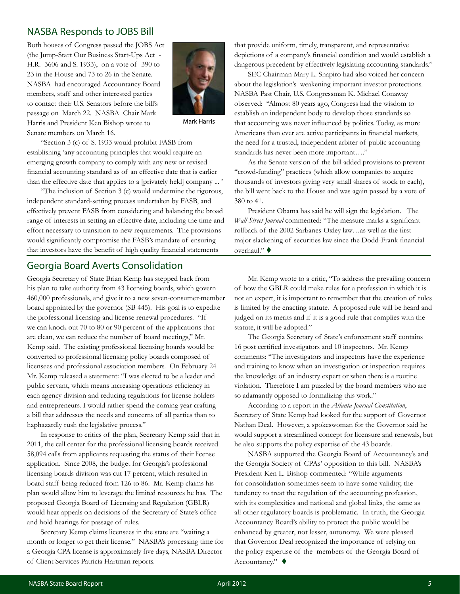#### NASBA Responds to JOBS Bill

Both houses of Congress passed the JOBS Act (the Jump-Start Our Business Start-Ups Act - H.R. 3606 and S. 1933), on a vote of 390 to 23 in the House and 73 to 26 in the Senate. NASBA had encouraged Accountancy Board members, staff and other interested parties to contact their U.S. Senators before the bill's passage on March 22. NASBA Chair Mark Harris and President Ken Bishop wrote to Senate members on March 16.



Mark Harris

"Section 3 (c) of S. 1933 would prohibit FASB from establishing 'any accounting principles that would require an emerging growth company to comply with any new or revised financial accounting standard as of an effective date that is earlier than the effective date that applies to a [privately held] company ... '

"The inclusion of Section 3 (c) would undermine the rigorous, independent standard-setting process undertaken by FASB, and effectively prevent FASB from considering and balancing the broad range of interests in setting an effective date, including the time and effort necessary to transition to new requirements. The provisions would significantly compromise the FASB's mandate of ensuring that investors have the benefit of high quality financial statements

#### Georgia Board Averts Consolidation

Georgia Secretary of State Brian Kemp has stepped back from his plan to take authority from 43 licensing boards, which govern 460,000 professionals, and give it to a new seven-consumer-member board appointed by the governor (SB 445). His goal is to expedite the professional licensing and license renewal procedures. "If we can knock out 70 to 80 or 90 percent of the applications that are clean, we can reduce the number of board meetings," Mr. Kemp said. The existing professional licensing boards would be converted to professional licensing policy boards composed of licensees and professional association members. On February 24 Mr. Kemp released a statement: "I was elected to be a leader and public servant, which means increasing operations efficiency in each agency division and reducing regulations for license holders and entrepreneurs. I would rather spend the coming year crafting a bill that addresses the needs and concerns of all parties than to haphazardly rush the legislative process."

In response to critics of the plan, Secretary Kemp said that in 2011, the call center for the professional licensing boards received 58,094 calls from applicants requesting the status of their license application. Since 2008, the budget for Georgia's professional licensing boards division was cut 17 percent, which resulted in board staff being reduced from 126 to 86. Mr. Kemp claims his plan would allow him to leverage the limited resources he has. The proposed Georgia Board of Licensing and Regulation (GBLR) would hear appeals on decisions of the Secretary of State's office and hold hearings for passage of rules.

Secretary Kemp claims licensees in the state are "waiting a month or longer to get their license." NASBA's processing time for a Georgia CPA license is approximately five days, NASBA Director of Client Services Patricia Hartman reports.

that provide uniform, timely, transparent, and representative depictions of a company's financial condition and would establish a dangerous precedent by effectively legislating accounting standards."

SEC Chairman Mary L. Shapiro had also voiced her concern about the legislation's weakening important investor protections. NASBA Past Chair, U.S. Congressman K. Michael Conaway observed: "Almost 80 years ago, Congress had the wisdom to establish an independent body to develop those standards so that accounting was never influenced by politics. Today, as more Americans than ever are active participants in financial markets, the need for a trusted, independent arbiter of public accounting standards has never been more important…."

As the Senate version of the bill added provisions to prevent "crowd-funding" practices (which allow companies to acquire thousands of investors giving very small shares of stock to each), the bill went back to the House and was again passed by a vote of 380 to 41.

President Obama has said he will sign the legislation. The *Wall Street Journal* commented: "The measure marks a significant rollback of the 2002 Sarbanes-Oxley law…as well as the first major slackening of securities law since the Dodd-Frank financial overhaul." ♦

Mr. Kemp wrote to a critic, "To address the prevailing concern of how the GBLR could make rules for a profession in which it is not an expert, it is important to remember that the creation of rules is limited by the enacting statute. A proposed rule will be heard and judged on its merits and if it is a good rule that complies with the statute, it will be adopted."

The Georgia Secretary of State's enforcement staff contains 16 post certified investigators and 10 inspectors. Mr. Kemp comments: "The investigators and inspectors have the experience and training to know when an investigation or inspection requires the knowledge of an industry expert or when there is a routine violation. Therefore I am puzzled by the board members who are so adamantly opposed to formalizing this work."

According to a report in the *Atlanta Journal-Constitution*, Secretary of State Kemp had looked for the support of Governor Nathan Deal. However, a spokeswoman for the Governor said he would support a streamlined concept for licensure and renewals, but he also supports the policy expertise of the 43 boards.

NASBA supported the Georgia Board of Accountancy's and the Georgia Society of CPAs' opposition to this bill. NASBA's President Ken L. Bishop commented: "While arguments for consolidation sometimes seem to have some validity, the tendency to treat the regulation of the accounting profession, with its complexities and national and global links, the same as all other regulatory boards is problematic. In truth, the Georgia Accountancy Board's ability to protect the public would be enhanced by greater, not lesser, autonomy. We were pleased that Governor Deal recognized the importance of relying on the policy expertise of the members of the Georgia Board of Accountancy." $\blacklozenge$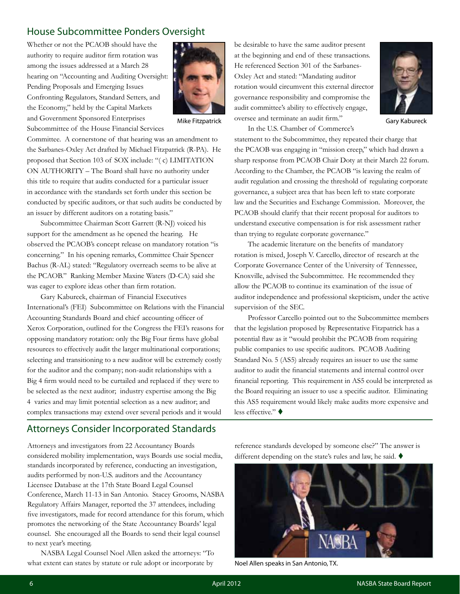# House Subcommittee Ponders Oversight

Whether or not the PCAOB should have the authority to require auditor firm rotation was among the issues addressed at a March 28 hearing on "Accounting and Auditing Oversight: Pending Proposals and Emerging Issues Confronting Regulators, Standard Setters, and the Economy," held by the Capital Markets and Government Sponsored Enterprises Subcommittee of the House Financial Services



Committee. A cornerstone of that hearing was an amendment to the Sarbanes-Oxley Act drafted by Michael Fitzpatrick (R-PA). He proposed that Section 103 of SOX include: "( c) LIMITATION ON AUTHORITY – The Board shall have no authority under this title to require that audits conducted for a particular issuer in accordance with the standards set forth under this section be conducted by specific auditors, or that such audits be conducted by an issuer by different auditors on a rotating basis."

Subcommittee Chairman Scott Garrett (R-NJ) voiced his support for the amendment as he opened the hearing. He observed the PCAOB's concept release on mandatory rotation "is concerning." In his opening remarks, Committee Chair Spencer Bachus (R-AL) stated: "Regulatory overreach seems to be alive at the PCAOB." Ranking Member Maxine Waters (D-CA) said she was eager to explore ideas other than firm rotation.

Gary Kabureck, chairman of Financial Executives International's (FEI) Subcommittee on Relations with the Financial Accounting Standards Board and chief accounting officer of Xerox Corporation, outlined for the Congress the FEI's reasons for opposing mandatory rotation: only the Big Four firms have global resources to effectively audit the larger multinational corporations; selecting and transitioning to a new auditor will be extremely costly for the auditor and the company; non-audit relationships with a Big 4 firm would need to be curtailed and replaced if they were to be selected as the next auditor; industry expertise among the Big 4 varies and may limit potential selection as a new auditor; and complex transactions may extend over several periods and it would

# Attorneys Consider Incorporated Standards

Attorneys and investigators from 22 Accountancy Boards considered mobility implementation, ways Boards use social media, standards incorporated by reference, conducting an investigation, audits performed by non-U.S. auditors and the Accountancy Licensee Database at the 17th State Board Legal Counsel Conference, March 11-13 in San Antonio. Stacey Grooms, NASBA Regulatory Affairs Manager, reported the 37 attendees, including five investigators, made for record attendance for this forum, which promotes the networking of the State Accountancy Boards' legal counsel. She encouraged all the Boards to send their legal counsel to next year's meeting.

NASBA Legal Counsel Noel Allen asked the attorneys: "To what extent can states by statute or rule adopt or incorporate by

be desirable to have the same auditor present at the beginning and end of these transactions. He referenced Section 301 of the Sarbanes-Oxley Act and stated: "Mandating auditor rotation would circumvent this external director governance responsibility and compromise the audit committee's ability to effectively engage, Mike Fitzpatrick oversee and terminate an audit firm." Gary Kabureck



In the U.S. Chamber of Commerce's

statement to the Subcommittee, they repeated their charge that the PCAOB was engaging in "mission creep," which had drawn a sharp response from PCAOB Chair Doty at their March 22 forum. According to the Chamber, the PCAOB "is leaving the realm of audit regulation and crossing the threshold of regulating corporate governance, a subject area that has been left to state corporate law and the Securities and Exchange Commission. Moreover, the PCAOB should clarify that their recent proposal for auditors to understand executive compensation is for risk assessment rather than trying to regulate corporate governance."

The academic literature on the benefits of mandatory rotation is mixed, Joseph V. Carcello, director of research at the Corporate Governance Center of the University of Tennessee, Knoxville, advised the Subcommittee. He recommended they allow the PCAOB to continue its examination of the issue of auditor independence and professional skepticism, under the active supervision of the SEC.

Professor Carcello pointed out to the Subcommittee members that the legislation proposed by Representative Fitzpatrick has a potential flaw as it "would prohibit the PCAOB from requiring public companies to use specific auditors. PCAOB Auditing Standard No. 5 (AS5) already requires an issuer to use the same auditor to audit the financial statements and internal control over financial reporting. This requirement in AS5 could be interpreted as the Board requiring an issuer to use a specific auditor. Eliminating this AS5 requirement would likely make audits more expensive and less effective." ♦

reference standards developed by someone else?" The answer is different depending on the state's rules and law, he said.  $\blacklozenge$ 



Noel Allen speaks in San Antonio, TX.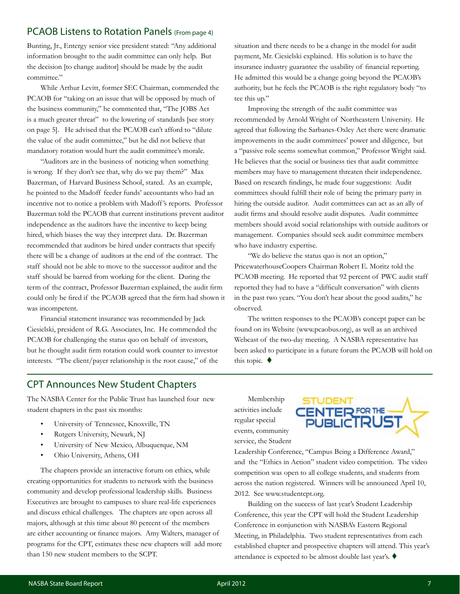#### PCAOB Listens to Rotation Panels (From page 4)

Bunting, Jr., Entergy senior vice president stated: "Any additional information brought to the audit committee can only help. But the decision [to change auditor] should be made by the audit committee."

While Arthur Levitt, former SEC Chairman, commended the PCAOB for "taking on an issue that will be opposed by much of the business community," he commented that, "The JOBS Act is a much greater threat" to the lowering of standards [see story on page 5]. He advised that the PCAOB can't afford to "dilute the value of the audit committee," but he did not believe that mandatory rotation would hurt the audit committee's morale.

"Auditors are in the business of noticing when something is wrong. If they don't see that, why do we pay them?" Max Bazerman, of Harvard Business School, stated. As an example, he pointed to the Madoff feeder funds' accountants who had an incentive not to notice a problem with Madoff 's reports. Professor Bazerman told the PCAOB that current institutions prevent auditor independence as the auditors have the incentive to keep being hired, which biases the way they interpret data. Dr. Bazerman recommended that auditors be hired under contracts that specify there will be a change of auditors at the end of the contract. The staff should not be able to move to the successor auditor and the staff should be barred from working for the client. During the term of the contract, Professor Bazerman explained, the audit firm could only be fired if the PCAOB agreed that the firm had shown it was incompetent.

Financial statement insurance was recommended by Jack Ciesielski, president of R.G. Associates, Inc. He commended the PCAOB for challenging the status quo on behalf of investors, but he thought audit firm rotation could work counter to investor interests. "The client/payer relationship is the root cause," of the situation and there needs to be a change in the model for audit payment, Mr. Ciesielski explained. His solution is to have the insurance industry guarantee the usability of financial reporting. He admitted this would be a change going beyond the PCAOB's authority, but he feels the PCAOB is the right regulatory body "to tee this up."

Improving the strength of the audit committee was recommended by Arnold Wright of Northeastern University. He agreed that following the Sarbanes-Oxley Act there were dramatic improvements in the audit committees' power and diligence, but a "passive role seems somewhat common," Professor Wright said. He believes that the social or business ties that audit committee members may have to management threaten their independence. Based on research findings, he made four suggestions: Audit committees should fulfill their role of being the primary party in hiring the outside auditor. Audit committees can act as an ally of audit firms and should resolve audit disputes. Audit committee members should avoid social relationships with outside auditors or management. Companies should seek audit committee members who have industry expertise.

"We do believe the status quo is not an option," PricewaterhouseCoopers Chairman Robert E. Moritz told the PCAOB meeting. He reported that 92 percent of PWC audit staff reported they had to have a "difficult conversation" with clients in the past two years. "You don't hear about the good audits," he observed.

The written responses to the PCAOB's concept paper can be found on its Website (www.pcaobus.org), as well as an archived Webcast of the two-day meeting. A NASBA representative has been asked to participate in a future forum the PCAOB will hold on this topic.  $\blacklozenge$ 

#### CPT Announces New Student Chapters

The NASBA Center for the Public Trust has launched four new student chapters in the past six months:

- University of Tennessee, Knoxville, TN
- Rutgers University, Newark, NJ
- University of New Mexico, Albuquerque, NM
- Ohio University, Athens, OH

The chapters provide an interactive forum on ethics, while creating opportunities for students to network with the business community and develop professional leadership skills. Business Executives are brought to campuses to share real-life experiences and discuss ethical challenges. The chapters are open across all majors, although at this time about 80 percent of the members are either accounting or finance majors. Amy Walters, manager of programs for the CPT, estimates these new chapters will add more than 150 new student members to the SCPT.

Membership activities include regular special events, community service, the Student



Leadership Conference, "Campus Being a Difference Award," and the "Ethics in Action" student video competition. The video competition was open to all college students, and students from across the nation registered. Winners will be announced April 10, 2012. See www.studentcpt.org.

Building on the success of last year's Student Leadership Conference, this year the CPT will hold the Student Leadership Conference in conjunction with NASBA's Eastern Regional Meeting, in Philadelphia. Two student representatives from each established chapter and prospective chapters will attend. This year's attendance is expected to be almost double last year's.  $\blacklozenge$